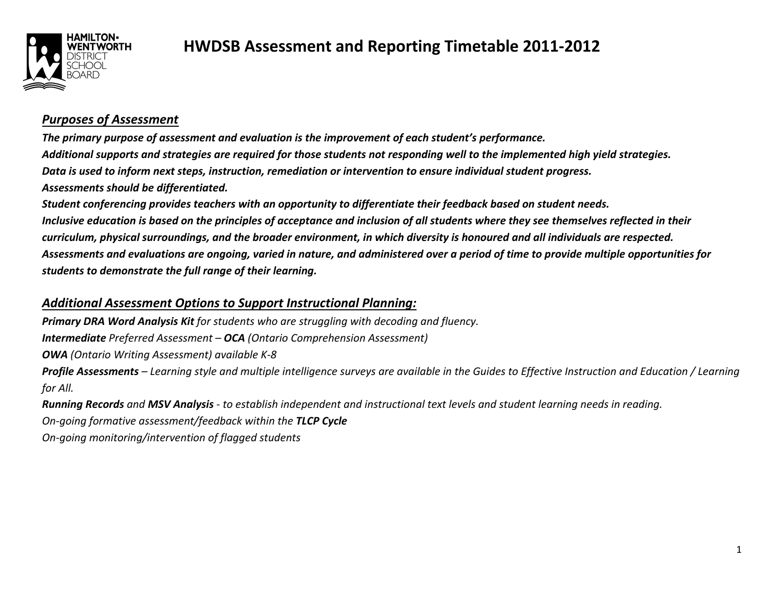

### **HWDSB Assessment and Reporting Timetable 2011-2012**

#### *Purposes of Assessment*

*The primary purpose of assessment and evaluation is the improvement of each student's performance. Additional supports and strategies are required for those students not responding well to the implemented high yield strategies. Data is used to inform next steps, instruction, remediation or intervention to ensure individual student progress. Assessments should be differentiated.* 

*Student conferencing provides teachers with an opportunity to differentiate their feedback based on student needs. Inclusive education is based on the principles of acceptance and inclusion of all students where they see themselves reflected in their curriculum, physical surroundings, and the broader environment, in which diversity is honoured and all individuals are respected. Assessments and evaluations are ongoing, varied in nature, and administered over a period of time to provide multiple opportunities for students to demonstrate the full range of their learning.* 

### *Additional Assessment Options to Support Instructional Planning:*

*Primary DRA Word Analysis Kit for students who are struggling with decoding and fluency. Intermediate Preferred Assessment – OCA (Ontario Comprehension Assessment) OWA (Ontario Writing Assessment) available K-8 Profile Assessments – Learning style and multiple intelligence surveys are available in the Guides to Effective Instruction and Education / Learning for All.* 

*Running Records and MSV Analysis - to establish independent and instructional text levels and student learning needs in reading. On-going formative assessment/feedback within the TLCP CycleOn-going monitoring/intervention of flagged students*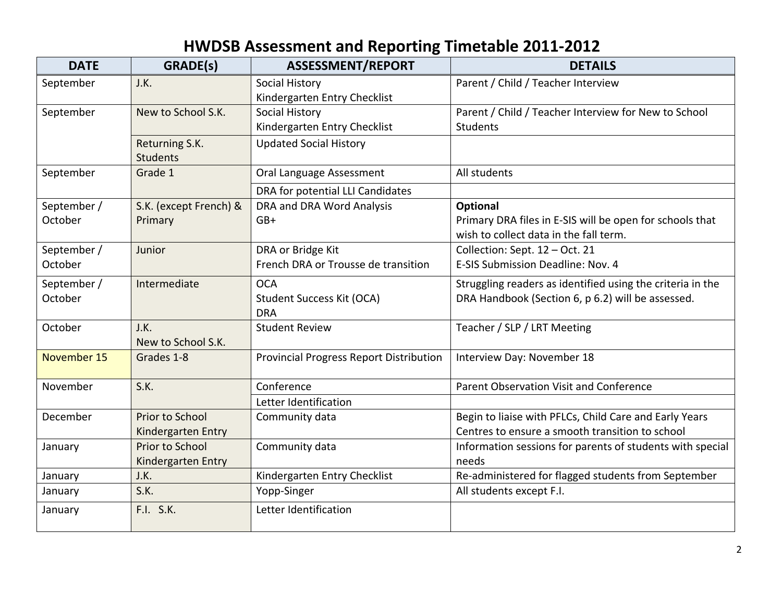# **HWDSB Assessment and Reporting Timetable 2011-2012**

| <b>DATE</b> | GRADE(s)               | <b>ASSESSMENT/REPORT</b>                       | <b>DETAILS</b>                                             |
|-------------|------------------------|------------------------------------------------|------------------------------------------------------------|
| September   | J.K.                   | <b>Social History</b>                          | Parent / Child / Teacher Interview                         |
|             |                        | Kindergarten Entry Checklist                   |                                                            |
| September   | New to School S.K.     | <b>Social History</b>                          | Parent / Child / Teacher Interview for New to School       |
|             |                        | Kindergarten Entry Checklist                   | <b>Students</b>                                            |
|             | Returning S.K.         | <b>Updated Social History</b>                  |                                                            |
|             | <b>Students</b>        |                                                |                                                            |
| September   | Grade 1                | Oral Language Assessment                       | All students                                               |
|             |                        | DRA for potential LLI Candidates               |                                                            |
| September / | S.K. (except French) & | DRA and DRA Word Analysis                      | Optional                                                   |
| October     | Primary                | $GB+$                                          | Primary DRA files in E-SIS will be open for schools that   |
|             |                        |                                                | wish to collect data in the fall term.                     |
| September / | Junior                 | DRA or Bridge Kit                              | Collection: Sept. 12 - Oct. 21                             |
| October     |                        | French DRA or Trousse de transition            | E-SIS Submission Deadline: Nov. 4                          |
| September / | Intermediate           | <b>OCA</b>                                     | Struggling readers as identified using the criteria in the |
| October     |                        | Student Success Kit (OCA)                      | DRA Handbook (Section 6, p 6.2) will be assessed.          |
|             |                        | <b>DRA</b>                                     |                                                            |
| October     | J.K.                   | <b>Student Review</b>                          | Teacher / SLP / LRT Meeting                                |
|             | New to School S.K.     |                                                |                                                            |
| November 15 | Grades 1-8             | <b>Provincial Progress Report Distribution</b> | Interview Day: November 18                                 |
| November    | S.K.                   | Conference                                     | Parent Observation Visit and Conference                    |
|             |                        | Letter Identification                          |                                                            |
| December    | Prior to School        | Community data                                 | Begin to liaise with PFLCs, Child Care and Early Years     |
|             | Kindergarten Entry     |                                                | Centres to ensure a smooth transition to school            |
| January     | Prior to School        | Community data                                 | Information sessions for parents of students with special  |
|             | Kindergarten Entry     |                                                | needs                                                      |
| January     | J.K.                   | Kindergarten Entry Checklist                   | Re-administered for flagged students from September        |
| January     | S.K.                   | Yopp-Singer                                    | All students except F.I.                                   |
| January     | F.I. S.K.              | Letter Identification                          |                                                            |
|             |                        |                                                |                                                            |